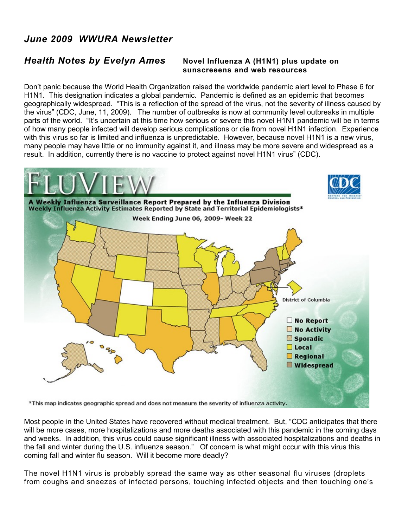## *June 2009 WWURA Newsletter*

## *Health Notes by Evelyn Ames* **Novel Influenza A (H1N1) plus update on**

## **sunscreeens and web resources**

Don't panic because the World Health Organization raised the worldwide pandemic alert level to Phase 6 for H1N1. This designation indicates a global pandemic. Pandemic is defined as an epidemic that becomes geographically widespread. "This is a reflection of the spread of the virus, not the severity of illness caused by the virus" (CDC, June, 11, 2009). The number of outbreaks is now at community level outbreaks in multiple parts of the world. "It's uncertain at this time how serious or severe this novel H1N1 pandemic will be in terms of how many people infected will develop serious complications or die from novel H1N1 infection. Experience with this virus so far is limited and influenza is unpredictable. However, because novel H1N1 is a new virus, many people may have little or no immunity against it, and illness may be more severe and widespread as a result. In addition, currently there is no vaccine to protect against novel H1N1 virus" (CDC).



\*This map indicates geographic spread and does not measure the severity of influenza activity.

Most people in the United States have recovered without medical treatment. But, "CDC anticipates that there will be more cases, more hospitalizations and more deaths associated with this pandemic in the coming days and weeks. In addition, this virus could cause significant illness with associated hospitalizations and deaths in the fall and winter during the U.S. influenza season." Of concern is what might occur with this virus this coming fall and winter flu season. Will it become more deadly?

The novel H1N1 virus is probably spread the same way as other seasonal flu viruses (droplets from coughs and sneezes of infected persons, touching infected objects and then touching one's